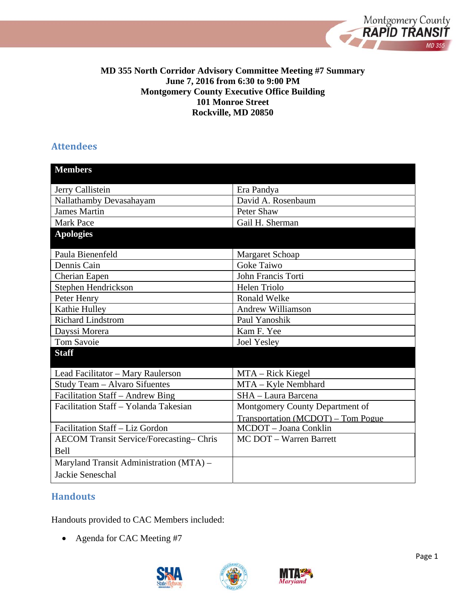

#### **MD 355 North Corridor Advisory Committee Meeting #7 Summary June 7, 2016 from 6:30 to 9:00 PM Montgomery County Executive Office Building 101 Monroe Street Rockville, MD 20850**

## **Attendees**

| <b>Members</b>                          |                                    |
|-----------------------------------------|------------------------------------|
| Jerry Callistein                        | Era Pandya                         |
| Nallathamby Devasahayam                 | David A. Rosenbaum                 |
| <b>James Martin</b>                     | Peter Shaw                         |
| <b>Mark Pace</b>                        | Gail H. Sherman                    |
| <b>Apologies</b>                        |                                    |
| Paula Bienenfeld                        | Margaret Schoap                    |
| Dennis Cain                             | <b>Goke Taiwo</b>                  |
| Cherian Eapen                           | John Francis Torti                 |
| Stephen Hendrickson                     | <b>Helen Triolo</b>                |
| Peter Henry                             | <b>Ronald Welke</b>                |
| Kathie Hulley                           | <b>Andrew Williamson</b>           |
| <b>Richard Lindstrom</b>                | Paul Yanoshik                      |
| Dayssi Morera                           | Kam F. Yee                         |
| <b>Tom Savoie</b>                       | <b>Joel Yesley</b>                 |
| <b>Staff</b>                            |                                    |
| Lead Facilitator - Mary Raulerson       | MTA – Rick Kiegel                  |
| Study Team - Alvaro Sifuentes           | MTA - Kyle Nembhard                |
| Facilitation Staff – Andrew Bing        | SHA - Laura Barcena                |
| Facilitation Staff - Yolanda Takesian   | Montgomery County Department of    |
|                                         | Transportation (MCDOT) – Tom Pogue |
| Facilitation Staff - Liz Gordon         | MCDOT - Joana Conklin              |
| AECOM Transit Service/Forecasting-Chris | MC DOT - Warren Barrett            |
| Bell                                    |                                    |
| Maryland Transit Administration (MTA) - |                                    |
| Jackie Seneschal                        |                                    |

# **Handouts**

Handouts provided to CAC Members included:

• Agenda for CAC Meeting #7





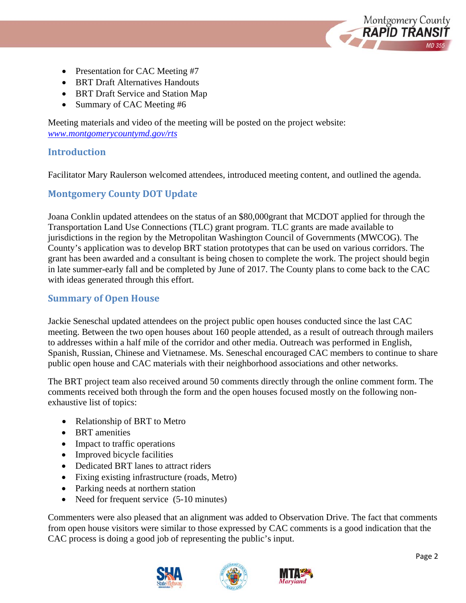

- Presentation for CAC Meeting #7
- BRT Draft Alternatives Handouts
- BRT Draft Service and Station Map
- Summary of CAC Meeting #6

Meeting materials and video of the meeting will be posted on the project website: *www.montgomerycountymd.gov/rts*

## **Introduction**

Facilitator Mary Raulerson welcomed attendees, introduced meeting content, and outlined the agenda.

## **Montgomery County DOT Update**

Joana Conklin updated attendees on the status of an \$80,000grant that MCDOT applied for through the Transportation Land Use Connections (TLC) grant program. TLC grants are made available to jurisdictions in the region by the Metropolitan Washington Council of Governments (MWCOG). The County's application was to develop BRT station prototypes that can be used on various corridors. The grant has been awarded and a consultant is being chosen to complete the work. The project should begin in late summer-early fall and be completed by June of 2017. The County plans to come back to the CAC with ideas generated through this effort.

## **Summary of Open House**

Jackie Seneschal updated attendees on the project public open houses conducted since the last CAC meeting. Between the two open houses about 160 people attended, as a result of outreach through mailers to addresses within a half mile of the corridor and other media. Outreach was performed in English, Spanish, Russian, Chinese and Vietnamese. Ms. Seneschal encouraged CAC members to continue to share public open house and CAC materials with their neighborhood associations and other networks.

The BRT project team also received around 50 comments directly through the online comment form. The comments received both through the form and the open houses focused mostly on the following nonexhaustive list of topics:

- Relationship of BRT to Metro
- BRT amenities
- Impact to traffic operations
- Improved bicycle facilities
- Dedicated BRT lanes to attract riders
- Fixing existing infrastructure (roads, Metro)
- Parking needs at northern station
- Need for frequent service (5-10 minutes)

Commenters were also pleased that an alignment was added to Observation Drive. The fact that comments from open house visitors were similar to those expressed by CAC comments is a good indication that the CAC process is doing a good job of representing the public's input.





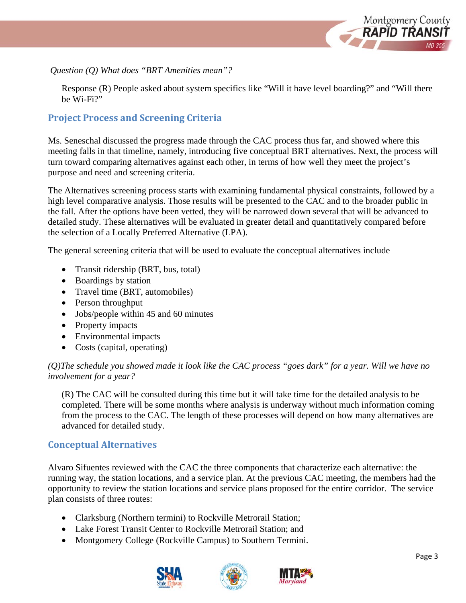

#### *Question (Q) What does "BRT Amenities mean"?*

 Response (R) People asked about system specifics like "Will it have level boarding?" and "Will there be Wi-Fi?"

## **Project Process and Screening Criteria**

Ms. Seneschal discussed the progress made through the CAC process thus far, and showed where this meeting falls in that timeline, namely, introducing five conceptual BRT alternatives. Next, the process will turn toward comparing alternatives against each other, in terms of how well they meet the project's purpose and need and screening criteria.

The Alternatives screening process starts with examining fundamental physical constraints, followed by a high level comparative analysis. Those results will be presented to the CAC and to the broader public in the fall. After the options have been vetted, they will be narrowed down several that will be advanced to detailed study. These alternatives will be evaluated in greater detail and quantitatively compared before the selection of a Locally Preferred Alternative (LPA).

The general screening criteria that will be used to evaluate the conceptual alternatives include

- Transit ridership (BRT, bus, total)
- Boardings by station
- Travel time (BRT, automobiles)
- Person throughput
- Jobs/people within 45 and 60 minutes
- Property impacts
- Environmental impacts
- Costs (capital, operating)

### *(Q)The schedule you showed made it look like the CAC process "goes dark" for a year. Will we have no involvement for a year?*

(R) The CAC will be consulted during this time but it will take time for the detailed analysis to be completed. There will be some months where analysis is underway without much information coming from the process to the CAC. The length of these processes will depend on how many alternatives are advanced for detailed study.

### **Conceptual Alternatives**

Alvaro Sifuentes reviewed with the CAC the three components that characterize each alternative: the running way, the station locations, and a service plan. At the previous CAC meeting, the members had the opportunity to review the station locations and service plans proposed for the entire corridor. The service plan consists of three routes:

- Clarksburg (Northern termini) to Rockville Metrorail Station;
- Lake Forest Transit Center to Rockville Metrorail Station; and
- Montgomery College (Rockville Campus) to Southern Termini.





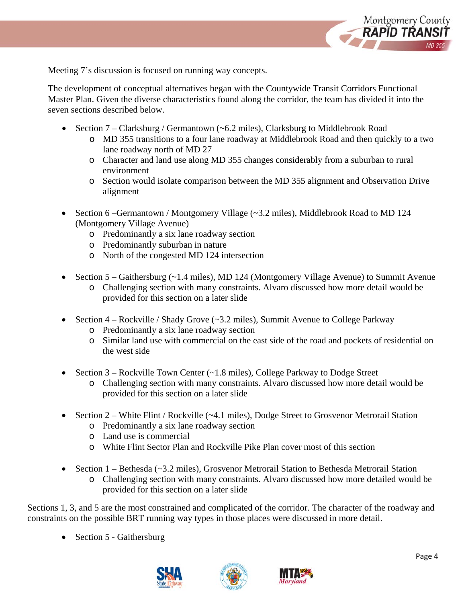

Meeting 7's discussion is focused on running way concepts.

The development of conceptual alternatives began with the Countywide Transit Corridors Functional Master Plan. Given the diverse characteristics found along the corridor, the team has divided it into the seven sections described below.

- Section  $7$  Clarksburg / Germantown (~6.2 miles), Clarksburg to Middlebrook Road
	- o MD 355 transitions to a four lane roadway at Middlebrook Road and then quickly to a two lane roadway north of MD 27
	- o Character and land use along MD 355 changes considerably from a suburban to rural environment
	- o Section would isolate comparison between the MD 355 alignment and Observation Drive alignment
- Section 6 –Germantown / Montgomery Village (~3.2 miles), Middlebrook Road to MD 124 (Montgomery Village Avenue)
	- o Predominantly a six lane roadway section
	- o Predominantly suburban in nature
	- o North of the congested MD 124 intersection
- Section  $5 -$ Gaithersburg (~1.4 miles), MD 124 (Montgomery Village Avenue) to Summit Avenue o Challenging section with many constraints. Alvaro discussed how more detail would be provided for this section on a later slide
- Section 4 Rockville / Shady Grove (~3.2 miles), Summit Avenue to College Parkway
	- o Predominantly a six lane roadway section
	- o Similar land use with commercial on the east side of the road and pockets of residential on the west side
- Section 3 Rockville Town Center (~1.8 miles), College Parkway to Dodge Street
	- o Challenging section with many constraints. Alvaro discussed how more detail would be provided for this section on a later slide
- Section 2 White Flint / Rockville (~4.1 miles), Dodge Street to Grosvenor Metrorail Station
	- o Predominantly a six lane roadway section
	- o Land use is commercial
	- o White Flint Sector Plan and Rockville Pike Plan cover most of this section
- Section 1 Bethesda (~3.2 miles), Grosvenor Metrorail Station to Bethesda Metrorail Station
	- o Challenging section with many constraints. Alvaro discussed how more detailed would be provided for this section on a later slide

Sections 1, 3, and 5 are the most constrained and complicated of the corridor. The character of the roadway and constraints on the possible BRT running way types in those places were discussed in more detail.

• Section 5 - Gaithersburg





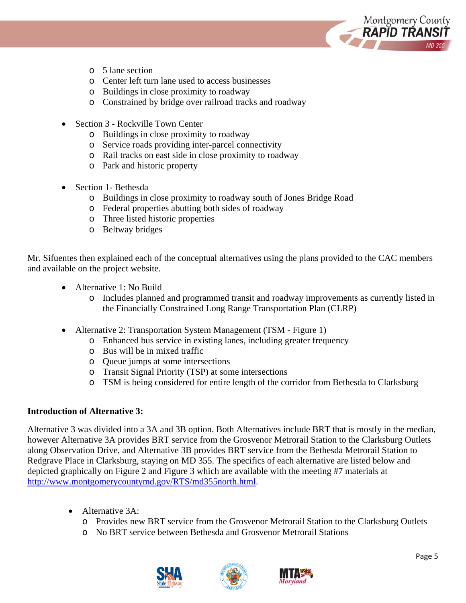

- o 5 lane section
- o Center left turn lane used to access businesses
- o Buildings in close proximity to roadway
- o Constrained by bridge over railroad tracks and roadway
- Section 3 Rockville Town Center
	- o Buildings in close proximity to roadway
	- o Service roads providing inter-parcel connectivity
	- o Rail tracks on east side in close proximity to roadway
	- o Park and historic property
- Section 1- Bethesda
	- o Buildings in close proximity to roadway south of Jones Bridge Road
	- o Federal properties abutting both sides of roadway
	- o Three listed historic properties
	- o Beltway bridges

Mr. Sifuentes then explained each of the conceptual alternatives using the plans provided to the CAC members and available on the project website.

- Alternative 1: No Build
	- o Includes planned and programmed transit and roadway improvements as currently listed in the Financially Constrained Long Range Transportation Plan (CLRP)
- Alternative 2: Transportation System Management (TSM Figure 1)
	- o Enhanced bus service in existing lanes, including greater frequency
	- o Bus will be in mixed traffic
	- o Queue jumps at some intersections
	- o Transit Signal Priority (TSP) at some intersections
	- o TSM is being considered for entire length of the corridor from Bethesda to Clarksburg

#### **Introduction of Alternative 3:**

Alternative 3 was divided into a 3A and 3B option. Both Alternatives include BRT that is mostly in the median, however Alternative 3A provides BRT service from the Grosvenor Metrorail Station to the Clarksburg Outlets along Observation Drive, and Alternative 3B provides BRT service from the Bethesda Metrorail Station to Redgrave Place in Clarksburg, staying on MD 355. The specifics of each alternative are listed below and depicted graphically on Figure 2 and Figure 3 which are available with the meeting #7 materials at http://www.montgomerycountymd.gov/RTS/md355north.html.

- Alternative 3A:
	- o Provides new BRT service from the Grosvenor Metrorail Station to the Clarksburg Outlets
	- o No BRT service between Bethesda and Grosvenor Metrorail Stations





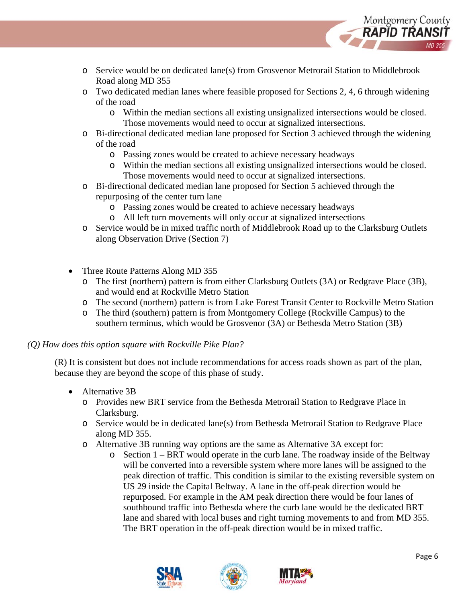

- o Service would be on dedicated lane(s) from Grosvenor Metrorail Station to Middlebrook Road along MD 355
- o Two dedicated median lanes where feasible proposed for Sections 2, 4, 6 through widening of the road
	- o Within the median sections all existing unsignalized intersections would be closed. Those movements would need to occur at signalized intersections.
- o Bi-directional dedicated median lane proposed for Section 3 achieved through the widening of the road
	- o Passing zones would be created to achieve necessary headways
	- o Within the median sections all existing unsignalized intersections would be closed. Those movements would need to occur at signalized intersections.
- o Bi-directional dedicated median lane proposed for Section 5 achieved through the repurposing of the center turn lane
	- o Passing zones would be created to achieve necessary headways
	- o All left turn movements will only occur at signalized intersections
- o Service would be in mixed traffic north of Middlebrook Road up to the Clarksburg Outlets along Observation Drive (Section 7)
- Three Route Patterns Along MD 355
	- o The first (northern) pattern is from either Clarksburg Outlets (3A) or Redgrave Place (3B), and would end at Rockville Metro Station
	- o The second (northern) pattern is from Lake Forest Transit Center to Rockville Metro Station
	- o The third (southern) pattern is from Montgomery College (Rockville Campus) to the southern terminus, which would be Grosvenor (3A) or Bethesda Metro Station (3B)

### *(Q) How does this option square with Rockville Pike Plan?*

(R) It is consistent but does not include recommendations for access roads shown as part of the plan, because they are beyond the scope of this phase of study.

- Alternative 3B
	- o Provides new BRT service from the Bethesda Metrorail Station to Redgrave Place in Clarksburg.
	- o Service would be in dedicated lane(s) from Bethesda Metrorail Station to Redgrave Place along MD 355.
	- o Alternative 3B running way options are the same as Alternative 3A except for:
		- o Section 1 BRT would operate in the curb lane. The roadway inside of the Beltway will be converted into a reversible system where more lanes will be assigned to the peak direction of traffic. This condition is similar to the existing reversible system on US 29 inside the Capital Beltway. A lane in the off-peak direction would be repurposed. For example in the AM peak direction there would be four lanes of southbound traffic into Bethesda where the curb lane would be the dedicated BRT lane and shared with local buses and right turning movements to and from MD 355. The BRT operation in the off-peak direction would be in mixed traffic.





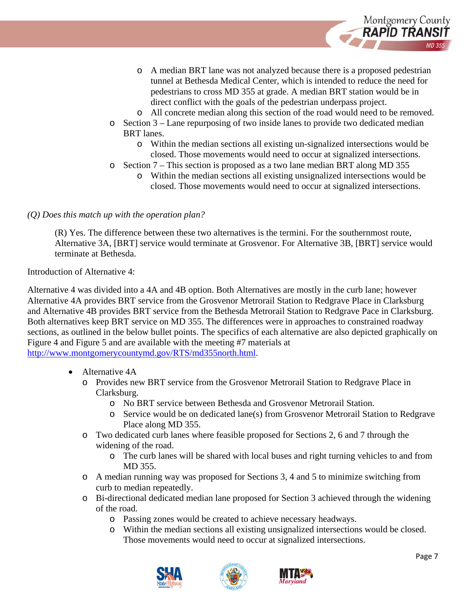

- o A median BRT lane was not analyzed because there is a proposed pedestrian tunnel at Bethesda Medical Center, which is intended to reduce the need for pedestrians to cross MD 355 at grade. A median BRT station would be in direct conflict with the goals of the pedestrian underpass project.
- o All concrete median along this section of the road would need to be removed.
- o Section 3 Lane repurposing of two inside lanes to provide two dedicated median BRT lanes.
	- o Within the median sections all existing un-signalized intersections would be closed. Those movements would need to occur at signalized intersections.
- o Section 7 This section is proposed as a two lane median BRT along MD 355
	- o Within the median sections all existing unsignalized intersections would be closed. Those movements would need to occur at signalized intersections.

#### *(Q) Does this match up with the operation plan?*

(R) Yes. The difference between these two alternatives is the termini. For the southernmost route, Alternative 3A, [BRT] service would terminate at Grosvenor. For Alternative 3B, [BRT] service would terminate at Bethesda.

Introduction of Alternative 4:

Alternative 4 was divided into a 4A and 4B option. Both Alternatives are mostly in the curb lane; however Alternative 4A provides BRT service from the Grosvenor Metrorail Station to Redgrave Place in Clarksburg and Alternative 4B provides BRT service from the Bethesda Metrorail Station to Redgrave Pace in Clarksburg. Both alternatives keep BRT service on MD 355. The differences were in approaches to constrained roadway sections, as outlined in the below bullet points. The specifics of each alternative are also depicted graphically on Figure 4 and Figure 5 and are available with the meeting #7 materials at

http://www.montgomerycountymd.gov/RTS/md355north.html.

- Alternative 4A
	- o Provides new BRT service from the Grosvenor Metrorail Station to Redgrave Place in Clarksburg.
		- o No BRT service between Bethesda and Grosvenor Metrorail Station.
		- o Service would be on dedicated lane(s) from Grosvenor Metrorail Station to Redgrave Place along MD 355.
	- o Two dedicated curb lanes where feasible proposed for Sections 2, 6 and 7 through the widening of the road.
		- o The curb lanes will be shared with local buses and right turning vehicles to and from MD 355.
	- o A median running way was proposed for Sections 3, 4 and 5 to minimize switching from curb to median repeatedly.
	- o Bi-directional dedicated median lane proposed for Section 3 achieved through the widening of the road.
		- o Passing zones would be created to achieve necessary headways.
		- o Within the median sections all existing unsignalized intersections would be closed. Those movements would need to occur at signalized intersections.





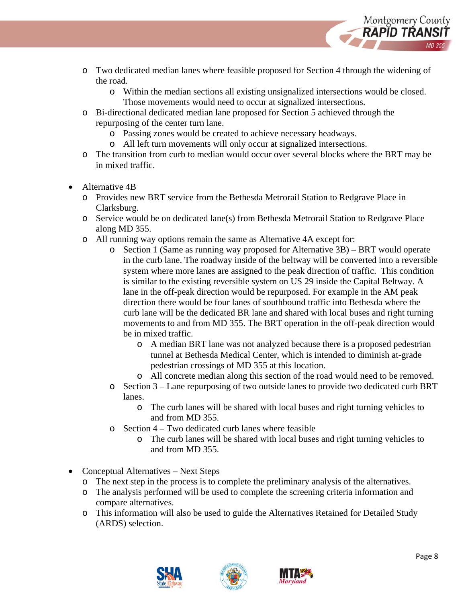

- o Two dedicated median lanes where feasible proposed for Section 4 through the widening of the road.
	- o Within the median sections all existing unsignalized intersections would be closed.
		- Those movements would need to occur at signalized intersections.
- o Bi-directional dedicated median lane proposed for Section 5 achieved through the repurposing of the center turn lane.
	- o Passing zones would be created to achieve necessary headways.
	- o All left turn movements will only occur at signalized intersections.
- o The transition from curb to median would occur over several blocks where the BRT may be in mixed traffic.
- Alternative 4B
	- o Provides new BRT service from the Bethesda Metrorail Station to Redgrave Place in Clarksburg.
	- o Service would be on dedicated lane(s) from Bethesda Metrorail Station to Redgrave Place along MD 355.
	- o All running way options remain the same as Alternative 4A except for:
		- o Section 1 (Same as running way proposed for Alternative 3B) BRT would operate in the curb lane. The roadway inside of the beltway will be converted into a reversible system where more lanes are assigned to the peak direction of traffic. This condition is similar to the existing reversible system on US 29 inside the Capital Beltway. A lane in the off-peak direction would be repurposed. For example in the AM peak direction there would be four lanes of southbound traffic into Bethesda where the curb lane will be the dedicated BR lane and shared with local buses and right turning movements to and from MD 355. The BRT operation in the off-peak direction would be in mixed traffic.
			- o A median BRT lane was not analyzed because there is a proposed pedestrian tunnel at Bethesda Medical Center, which is intended to diminish at-grade pedestrian crossings of MD 355 at this location.
			- o All concrete median along this section of the road would need to be removed.
		- o Section 3 Lane repurposing of two outside lanes to provide two dedicated curb BRT lanes.
			- o The curb lanes will be shared with local buses and right turning vehicles to and from MD 355.
		- $\circ$  Section 4 Two dedicated curb lanes where feasible
			- o The curb lanes will be shared with local buses and right turning vehicles to and from MD 355.
- Conceptual Alternatives Next Steps
	- o The next step in the process is to complete the preliminary analysis of the alternatives.
	- o The analysis performed will be used to complete the screening criteria information and compare alternatives.
	- o This information will also be used to guide the Alternatives Retained for Detailed Study (ARDS) selection.



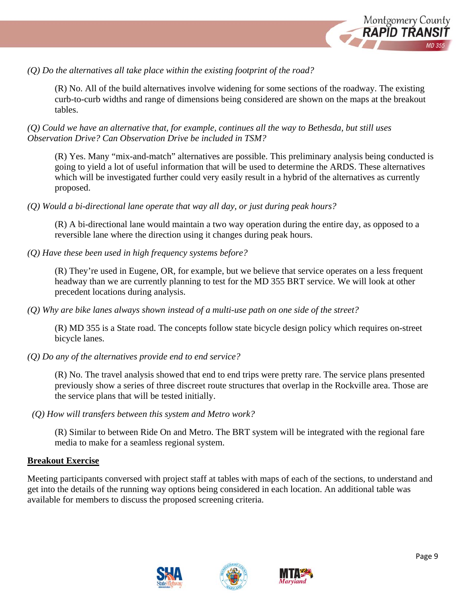

*(Q) Do the alternatives all take place within the existing footprint of the road?* 

(R) No. All of the build alternatives involve widening for some sections of the roadway. The existing curb-to-curb widths and range of dimensions being considered are shown on the maps at the breakout tables.

*(Q) Could we have an alternative that, for example, continues all the way to Bethesda, but still uses Observation Drive? Can Observation Drive be included in TSM?* 

(R) Yes. Many "mix-and-match" alternatives are possible. This preliminary analysis being conducted is going to yield a lot of useful information that will be used to determine the ARDS. These alternatives which will be investigated further could very easily result in a hybrid of the alternatives as currently proposed.

*(Q) Would a bi-directional lane operate that way all day, or just during peak hours?* 

(R) A bi-directional lane would maintain a two way operation during the entire day, as opposed to a reversible lane where the direction using it changes during peak hours.

*(Q) Have these been used in high frequency systems before?* 

(R) They're used in Eugene, OR, for example, but we believe that service operates on a less frequent headway than we are currently planning to test for the MD 355 BRT service. We will look at other precedent locations during analysis.

*(Q) Why are bike lanes always shown instead of a multi-use path on one side of the street?* 

(R) MD 355 is a State road. The concepts follow state bicycle design policy which requires on-street bicycle lanes.

*(Q) Do any of the alternatives provide end to end service?* 

(R) No. The travel analysis showed that end to end trips were pretty rare. The service plans presented previously show a series of three discreet route structures that overlap in the Rockville area. Those are the service plans that will be tested initially.

*(Q) How will transfers between this system and Metro work?* 

(R) Similar to between Ride On and Metro. The BRT system will be integrated with the regional fare media to make for a seamless regional system.

### **Breakout Exercise**

Meeting participants conversed with project staff at tables with maps of each of the sections, to understand and get into the details of the running way options being considered in each location. An additional table was available for members to discuss the proposed screening criteria.





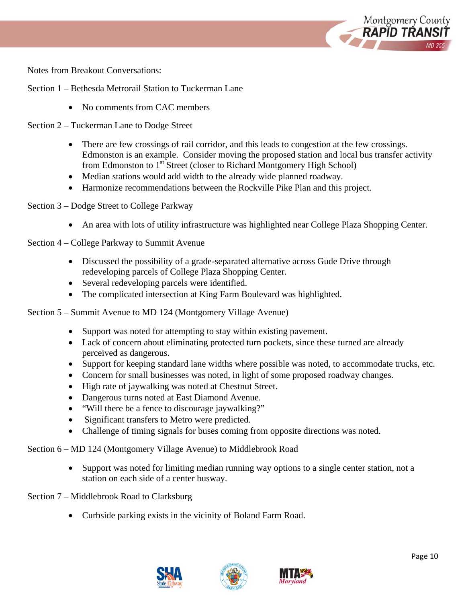

Notes from Breakout Conversations:

Section 1 – Bethesda Metrorail Station to Tuckerman Lane

• No comments from CAC members

Section 2 – Tuckerman Lane to Dodge Street

- There are few crossings of rail corridor, and this leads to congestion at the few crossings. Edmonston is an example. Consider moving the proposed station and local bus transfer activity from Edmonston to 1<sup>st</sup> Street (closer to Richard Montgomery High School)
- Median stations would add width to the already wide planned roadway.
- Harmonize recommendations between the Rockville Pike Plan and this project.
- Section 3 Dodge Street to College Parkway
	- An area with lots of utility infrastructure was highlighted near College Plaza Shopping Center.
- Section 4 College Parkway to Summit Avenue
	- Discussed the possibility of a grade-separated alternative across Gude Drive through redeveloping parcels of College Plaza Shopping Center.
	- Several redeveloping parcels were identified.
	- The complicated intersection at King Farm Boulevard was highlighted.

Section 5 – Summit Avenue to MD 124 (Montgomery Village Avenue)

- Support was noted for attempting to stay within existing pavement.
- Lack of concern about eliminating protected turn pockets, since these turned are already perceived as dangerous.
- Support for keeping standard lane widths where possible was noted, to accommodate trucks, etc.
- Concern for small businesses was noted, in light of some proposed roadway changes.
- High rate of jaywalking was noted at Chestnut Street.
- Dangerous turns noted at East Diamond Avenue.
- "Will there be a fence to discourage jaywalking?"
- Significant transfers to Metro were predicted.
- Challenge of timing signals for buses coming from opposite directions was noted.

Section 6 – MD 124 (Montgomery Village Avenue) to Middlebrook Road

 Support was noted for limiting median running way options to a single center station, not a station on each side of a center busway.

Section 7 – Middlebrook Road to Clarksburg

• Curbside parking exists in the vicinity of Boland Farm Road.